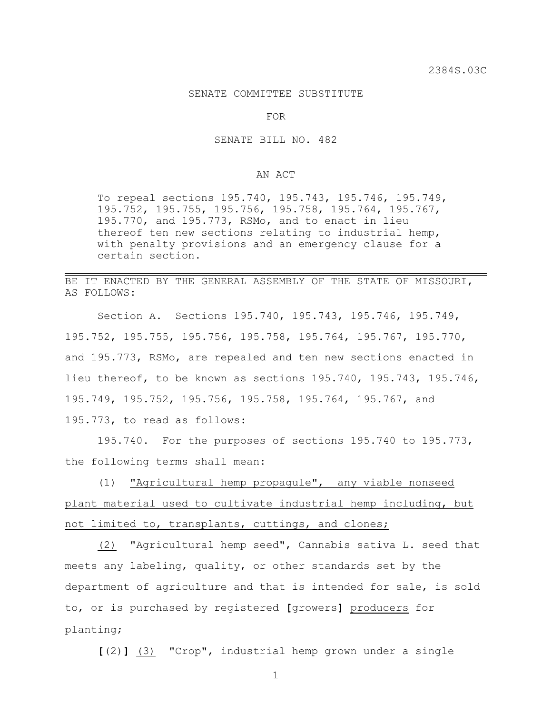## SENATE COMMITTEE SUBSTITUTE

FOR

SENATE BILL NO. 482

## AN ACT

To repeal sections 195.740, 195.743, 195.746, 195.749, 195.752, 195.755, 195.756, 195.758, 195.764, 195.767, 195.770, and 195.773, RSMo, and to enact in lieu thereof ten new sections relating to industrial hemp, with penalty provisions and an emergency clause for a certain section.

BE IT ENACTED BY THE GENERAL ASSEMBLY OF THE STATE OF MISSOURI, AS FOLLOWS:

Section A. Sections 195.740, 195.743, 195.746, 195.749, 195.752, 195.755, 195.756, 195.758, 195.764, 195.767, 195.770, and 195.773, RSMo, are repealed and ten new sections enacted in lieu thereof, to be known as sections 195.740, 195.743, 195.746, 195.749, 195.752, 195.756, 195.758, 195.764, 195.767, and 195.773, to read as follows:

195.740. For the purposes of sections 195.740 to 195.773, the following terms shall mean:

(1) "Agricultural hemp propagule", any viable nonseed plant material used to cultivate industrial hemp including, but not limited to, transplants, cuttings, and clones;

(2) "Agricultural hemp seed", Cannabis sativa L. seed that meets any labeling, quality, or other standards set by the department of agriculture and that is intended for sale, is sold to, or is purchased by registered **[**growers**]** producers for planting;

**[**(2)**]** (3) "Crop", industrial hemp grown under a single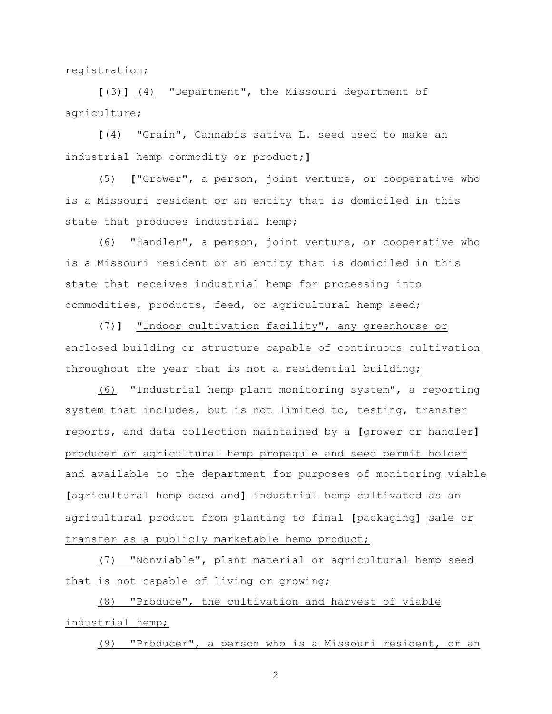registration;

**[**(3)**]** (4) "Department", the Missouri department of agriculture;

**[**(4) "Grain", Cannabis sativa L. seed used to make an industrial hemp commodity or product;**]**

(5) **[**"Grower", a person, joint venture, or cooperative who is a Missouri resident or an entity that is domiciled in this state that produces industrial hemp;

(6) "Handler", a person, joint venture, or cooperative who is a Missouri resident or an entity that is domiciled in this state that receives industrial hemp for processing into commodities, products, feed, or agricultural hemp seed;

(7)**]** "Indoor cultivation facility", any greenhouse or enclosed building or structure capable of continuous cultivation throughout the year that is not a residential building;

(6) "Industrial hemp plant monitoring system", a reporting system that includes, but is not limited to, testing, transfer reports, and data collection maintained by a **[**grower or handler**]** producer or agricultural hemp propagule and seed permit holder and available to the department for purposes of monitoring viable **[**agricultural hemp seed and**]** industrial hemp cultivated as an agricultural product from planting to final **[**packaging**]** sale or transfer as a publicly marketable hemp product;

(7) "Nonviable", plant material or agricultural hemp seed that is not capable of living or growing;

(8) "Produce", the cultivation and harvest of viable industrial hemp;

(9) "Producer", a person who is a Missouri resident, or an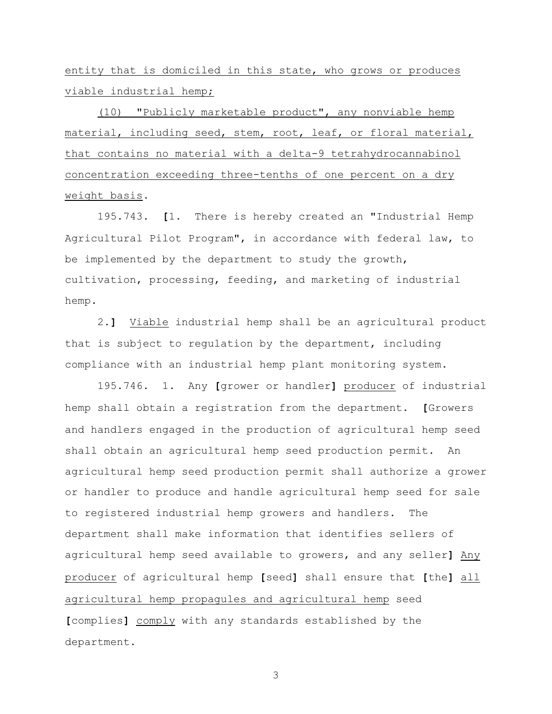entity that is domiciled in this state, who grows or produces viable industrial hemp;

(10) "Publicly marketable product", any nonviable hemp material, including seed, stem, root, leaf, or floral material, that contains no material with a delta-9 tetrahydrocannabinol concentration exceeding three-tenths of one percent on a dry weight basis.

195.743. **[**1. There is hereby created an "Industrial Hemp Agricultural Pilot Program", in accordance with federal law, to be implemented by the department to study the growth, cultivation, processing, feeding, and marketing of industrial hemp.

2.**]** Viable industrial hemp shall be an agricultural product that is subject to regulation by the department, including compliance with an industrial hemp plant monitoring system.

195.746. 1. Any **[**grower or handler**]** producer of industrial hemp shall obtain a registration from the department. **[**Growers and handlers engaged in the production of agricultural hemp seed shall obtain an agricultural hemp seed production permit. An agricultural hemp seed production permit shall authorize a grower or handler to produce and handle agricultural hemp seed for sale to registered industrial hemp growers and handlers. The department shall make information that identifies sellers of agricultural hemp seed available to growers, and any seller**]** Any producer of agricultural hemp **[**seed**]** shall ensure that **[**the**]** all agricultural hemp propagules and agricultural hemp seed **[**complies**]** comply with any standards established by the department.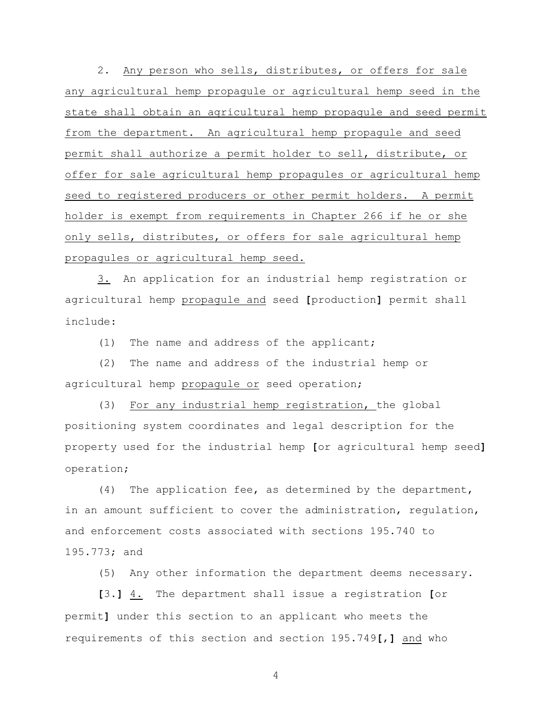2. Any person who sells, distributes, or offers for sale any agricultural hemp propagule or agricultural hemp seed in the state shall obtain an agricultural hemp propagule and seed permit from the department. An agricultural hemp propagule and seed permit shall authorize a permit holder to sell, distribute, or offer for sale agricultural hemp propagules or agricultural hemp seed to registered producers or other permit holders. A permit holder is exempt from requirements in Chapter 266 if he or she only sells, distributes, or offers for sale agricultural hemp propagules or agricultural hemp seed.

3. An application for an industrial hemp registration or agricultural hemp propagule and seed **[**production**]** permit shall include:

(1) The name and address of the applicant;

(2) The name and address of the industrial hemp or agricultural hemp propagule or seed operation;

(3) For any industrial hemp registration, the global positioning system coordinates and legal description for the property used for the industrial hemp **[**or agricultural hemp seed**]** operation;

(4) The application fee, as determined by the department, in an amount sufficient to cover the administration, regulation, and enforcement costs associated with sections 195.740 to 195.773; and

(5) Any other information the department deems necessary.

**[**3.**]** 4. The department shall issue a registration **[**or permit**]** under this section to an applicant who meets the requirements of this section and section 195.749**[**,**]** and who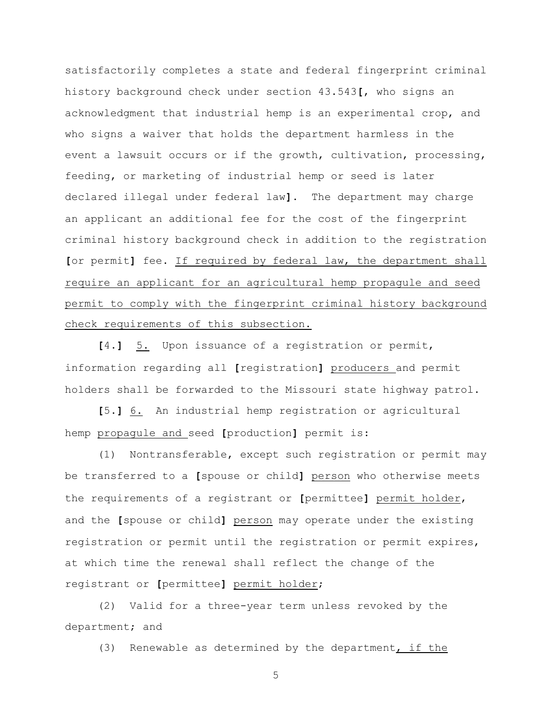satisfactorily completes a state and federal fingerprint criminal history background check under section 43.543**[**, who signs an acknowledgment that industrial hemp is an experimental crop, and who signs a waiver that holds the department harmless in the event a lawsuit occurs or if the growth, cultivation, processing, feeding, or marketing of industrial hemp or seed is later declared illegal under federal law**]**. The department may charge an applicant an additional fee for the cost of the fingerprint criminal history background check in addition to the registration **[**or permit**]** fee. If required by federal law, the department shall require an applicant for an agricultural hemp propagule and seed permit to comply with the fingerprint criminal history background check requirements of this subsection.

**[**4.**]** 5. Upon issuance of a registration or permit, information regarding all **[**registration**]** producers and permit holders shall be forwarded to the Missouri state highway patrol.

**[**5.**]** 6. An industrial hemp registration or agricultural hemp propagule and seed **[**production**]** permit is:

(1) Nontransferable, except such registration or permit may be transferred to a **[**spouse or child**]** person who otherwise meets the requirements of a registrant or **[**permittee**]** permit holder, and the **[**spouse or child**]** person may operate under the existing registration or permit until the registration or permit expires, at which time the renewal shall reflect the change of the registrant or **[**permittee**]** permit holder;

(2) Valid for a three-year term unless revoked by the department; and

(3) Renewable as determined by the department, if the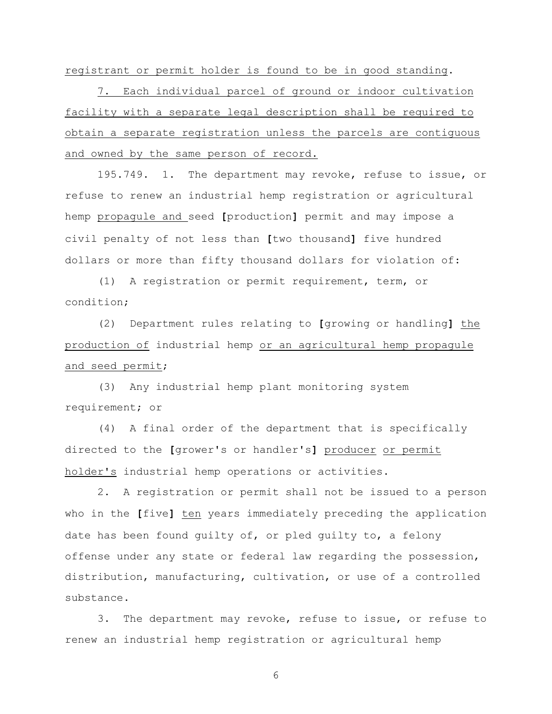registrant or permit holder is found to be in good standing.

7. Each individual parcel of ground or indoor cultivation facility with a separate legal description shall be required to obtain a separate registration unless the parcels are contiguous and owned by the same person of record.

195.749. 1. The department may revoke, refuse to issue, or refuse to renew an industrial hemp registration or agricultural hemp propagule and seed **[**production**]** permit and may impose a civil penalty of not less than **[**two thousand**]** five hundred dollars or more than fifty thousand dollars for violation of:

(1) A registration or permit requirement, term, or condition;

(2) Department rules relating to **[**growing or handling**]** the production of industrial hemp or an agricultural hemp propagule and seed permit;

(3) Any industrial hemp plant monitoring system requirement; or

(4) A final order of the department that is specifically directed to the **[**grower's or handler's**]** producer or permit holder's industrial hemp operations or activities.

2. A registration or permit shall not be issued to a person who in the **[**five**]** ten years immediately preceding the application date has been found guilty of, or pled guilty to, a felony offense under any state or federal law regarding the possession, distribution, manufacturing, cultivation, or use of a controlled substance.

3. The department may revoke, refuse to issue, or refuse to renew an industrial hemp registration or agricultural hemp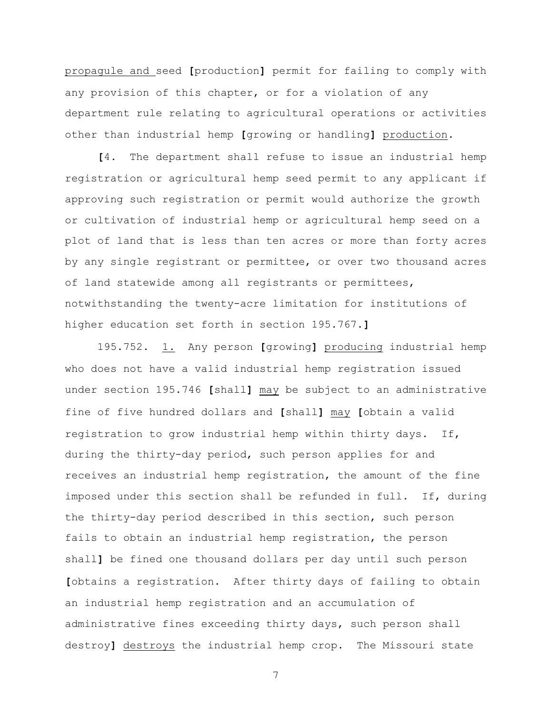propagule and seed **[**production**]** permit for failing to comply with any provision of this chapter, or for a violation of any department rule relating to agricultural operations or activities other than industrial hemp **[**growing or handling**]** production.

**[**4. The department shall refuse to issue an industrial hemp registration or agricultural hemp seed permit to any applicant if approving such registration or permit would authorize the growth or cultivation of industrial hemp or agricultural hemp seed on a plot of land that is less than ten acres or more than forty acres by any single registrant or permittee, or over two thousand acres of land statewide among all registrants or permittees, notwithstanding the twenty-acre limitation for institutions of higher education set forth in section 195.767.**]**

195.752. 1. Any person **[**growing**]** producing industrial hemp who does not have a valid industrial hemp registration issued under section 195.746 **[**shall**]** may be subject to an administrative fine of five hundred dollars and **[**shall**]** may **[**obtain a valid registration to grow industrial hemp within thirty days. If, during the thirty-day period, such person applies for and receives an industrial hemp registration, the amount of the fine imposed under this section shall be refunded in full. If, during the thirty-day period described in this section, such person fails to obtain an industrial hemp registration, the person shall**]** be fined one thousand dollars per day until such person **[**obtains a registration. After thirty days of failing to obtain an industrial hemp registration and an accumulation of administrative fines exceeding thirty days, such person shall destroy**]** destroys the industrial hemp crop. The Missouri state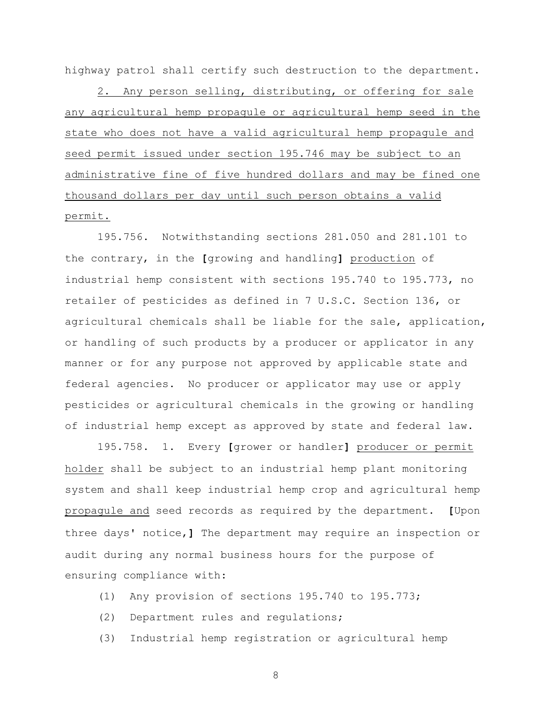highway patrol shall certify such destruction to the department.

2. Any person selling, distributing, or offering for sale any agricultural hemp propagule or agricultural hemp seed in the state who does not have a valid agricultural hemp propagule and seed permit issued under section 195.746 may be subject to an administrative fine of five hundred dollars and may be fined one thousand dollars per day until such person obtains a valid permit.

195.756. Notwithstanding sections 281.050 and 281.101 to the contrary, in the **[**growing and handling**]** production of industrial hemp consistent with sections 195.740 to 195.773, no retailer of pesticides as defined in 7 U.S.C. Section 136, or agricultural chemicals shall be liable for the sale, application, or handling of such products by a producer or applicator in any manner or for any purpose not approved by applicable state and federal agencies. No producer or applicator may use or apply pesticides or agricultural chemicals in the growing or handling of industrial hemp except as approved by state and federal law.

195.758. 1. Every **[**grower or handler**]** producer or permit holder shall be subject to an industrial hemp plant monitoring system and shall keep industrial hemp crop and agricultural hemp propagule and seed records as required by the department. **[**Upon three days' notice,**]** The department may require an inspection or audit during any normal business hours for the purpose of ensuring compliance with:

- (1) Any provision of sections 195.740 to 195.773;
- (2) Department rules and regulations;
- (3) Industrial hemp registration or agricultural hemp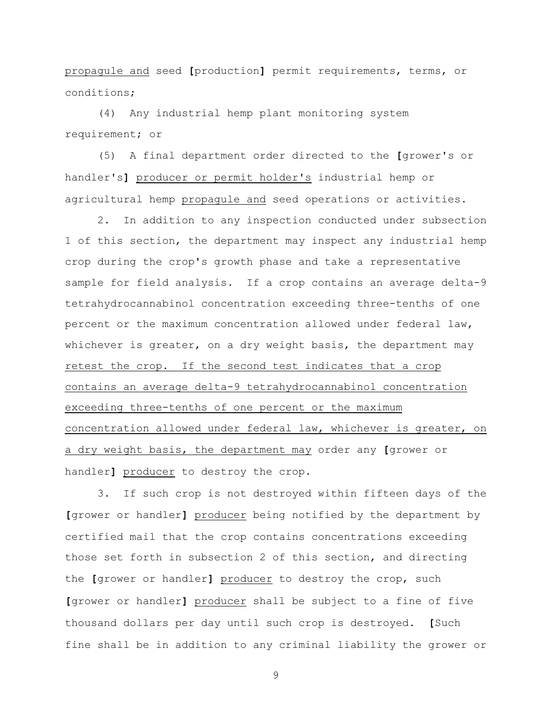propagule and seed **[**production**]** permit requirements, terms, or conditions;

(4) Any industrial hemp plant monitoring system requirement; or

(5) A final department order directed to the **[**grower's or handler's**]** producer or permit holder's industrial hemp or agricultural hemp propagule and seed operations or activities.

2. In addition to any inspection conducted under subsection 1 of this section, the department may inspect any industrial hemp crop during the crop's growth phase and take a representative sample for field analysis. If a crop contains an average delta-9 tetrahydrocannabinol concentration exceeding three-tenths of one percent or the maximum concentration allowed under federal law, whichever is greater, on a dry weight basis, the department may retest the crop. If the second test indicates that a crop contains an average delta-9 tetrahydrocannabinol concentration exceeding three-tenths of one percent or the maximum concentration allowed under federal law, whichever is greater, on a dry weight basis, the department may order any **[**grower or handler**]** producer to destroy the crop.

3. If such crop is not destroyed within fifteen days of the **[**grower or handler**]** producer being notified by the department by certified mail that the crop contains concentrations exceeding those set forth in subsection 2 of this section, and directing the **[**grower or handler**]** producer to destroy the crop, such **[**grower or handler**]** producer shall be subject to a fine of five thousand dollars per day until such crop is destroyed. **[**Such fine shall be in addition to any criminal liability the grower or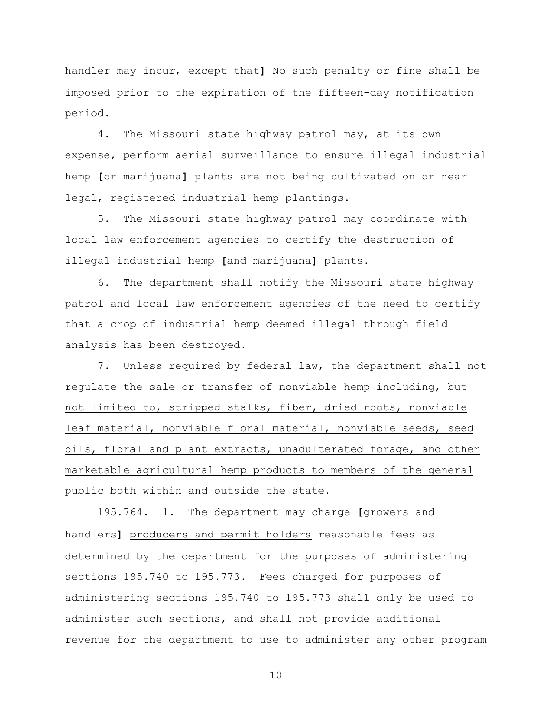handler may incur, except that**]** No such penalty or fine shall be imposed prior to the expiration of the fifteen-day notification period.

4. The Missouri state highway patrol may, at its own expense, perform aerial surveillance to ensure illegal industrial hemp **[**or marijuana**]** plants are not being cultivated on or near legal, registered industrial hemp plantings.

5. The Missouri state highway patrol may coordinate with local law enforcement agencies to certify the destruction of illegal industrial hemp **[**and marijuana**]** plants.

6. The department shall notify the Missouri state highway patrol and local law enforcement agencies of the need to certify that a crop of industrial hemp deemed illegal through field analysis has been destroyed.

7. Unless required by federal law, the department shall not regulate the sale or transfer of nonviable hemp including, but not limited to, stripped stalks, fiber, dried roots, nonviable leaf material, nonviable floral material, nonviable seeds, seed oils, floral and plant extracts, unadulterated forage, and other marketable agricultural hemp products to members of the general public both within and outside the state.

195.764. 1. The department may charge **[**growers and handlers**]** producers and permit holders reasonable fees as determined by the department for the purposes of administering sections 195.740 to 195.773. Fees charged for purposes of administering sections 195.740 to 195.773 shall only be used to administer such sections, and shall not provide additional revenue for the department to use to administer any other program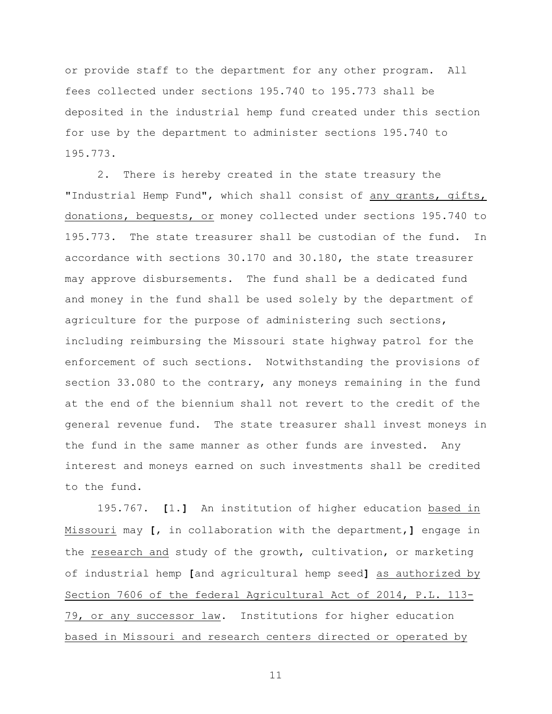or provide staff to the department for any other program. All fees collected under sections 195.740 to 195.773 shall be deposited in the industrial hemp fund created under this section for use by the department to administer sections 195.740 to 195.773.

2. There is hereby created in the state treasury the "Industrial Hemp Fund", which shall consist of any grants, gifts, donations, bequests, or money collected under sections 195.740 to 195.773. The state treasurer shall be custodian of the fund. In accordance with sections 30.170 and 30.180, the state treasurer may approve disbursements. The fund shall be a dedicated fund and money in the fund shall be used solely by the department of agriculture for the purpose of administering such sections, including reimbursing the Missouri state highway patrol for the enforcement of such sections. Notwithstanding the provisions of section 33.080 to the contrary, any moneys remaining in the fund at the end of the biennium shall not revert to the credit of the general revenue fund. The state treasurer shall invest moneys in the fund in the same manner as other funds are invested. Any interest and moneys earned on such investments shall be credited to the fund.

195.767. **[**1.**]** An institution of higher education based in Missouri may **[**, in collaboration with the department,**]** engage in the research and study of the growth, cultivation, or marketing of industrial hemp **[**and agricultural hemp seed**]** as authorized by Section 7606 of the federal Agricultural Act of 2014, P.L. 113- 79, or any successor law. Institutions for higher education based in Missouri and research centers directed or operated by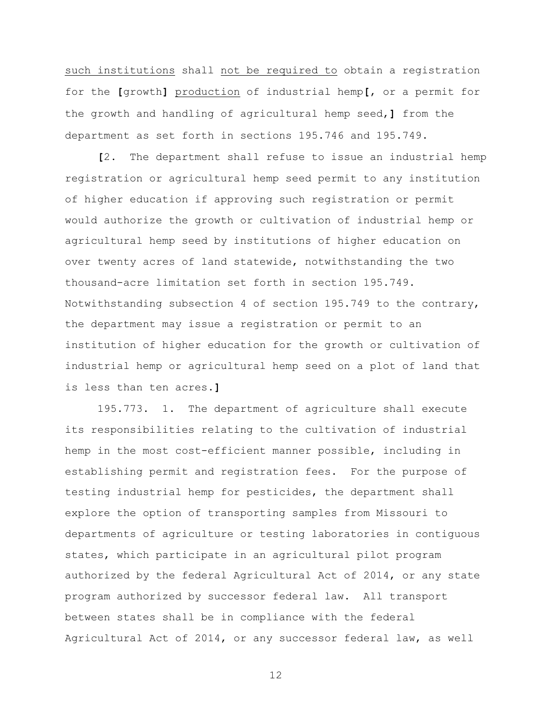such institutions shall not be required to obtain a registration for the **[**growth**]** production of industrial hemp**[**, or a permit for the growth and handling of agricultural hemp seed,**]** from the department as set forth in sections 195.746 and 195.749.

**[**2. The department shall refuse to issue an industrial hemp registration or agricultural hemp seed permit to any institution of higher education if approving such registration or permit would authorize the growth or cultivation of industrial hemp or agricultural hemp seed by institutions of higher education on over twenty acres of land statewide, notwithstanding the two thousand-acre limitation set forth in section 195.749. Notwithstanding subsection 4 of section 195.749 to the contrary, the department may issue a registration or permit to an institution of higher education for the growth or cultivation of industrial hemp or agricultural hemp seed on a plot of land that is less than ten acres.**]**

195.773. 1. The department of agriculture shall execute its responsibilities relating to the cultivation of industrial hemp in the most cost-efficient manner possible, including in establishing permit and registration fees. For the purpose of testing industrial hemp for pesticides, the department shall explore the option of transporting samples from Missouri to departments of agriculture or testing laboratories in contiguous states, which participate in an agricultural pilot program authorized by the federal Agricultural Act of 2014, or any state program authorized by successor federal law. All transport between states shall be in compliance with the federal Agricultural Act of 2014, or any successor federal law, as well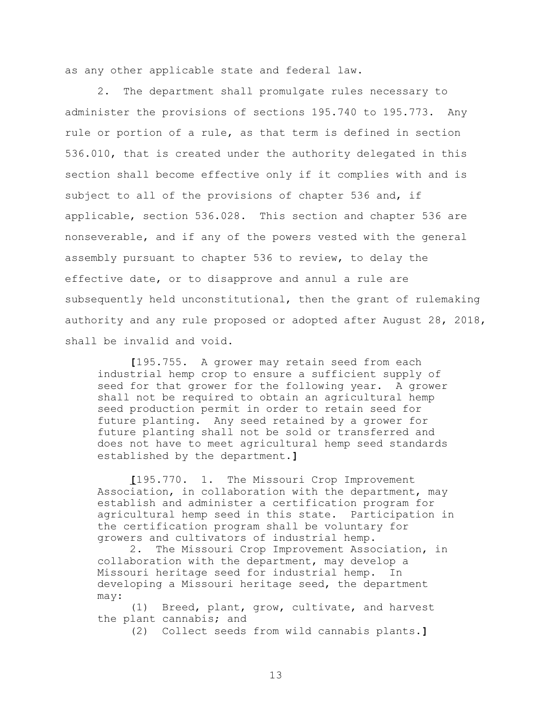as any other applicable state and federal law.

2. The department shall promulgate rules necessary to administer the provisions of sections 195.740 to 195.773. Any rule or portion of a rule, as that term is defined in section 536.010, that is created under the authority delegated in this section shall become effective only if it complies with and is subject to all of the provisions of chapter 536 and, if applicable, section 536.028. This section and chapter 536 are nonseverable, and if any of the powers vested with the general assembly pursuant to chapter 536 to review, to delay the effective date, or to disapprove and annul a rule are subsequently held unconstitutional, then the grant of rulemaking authority and any rule proposed or adopted after August 28, 2018, shall be invalid and void.

**[**195.755. A grower may retain seed from each industrial hemp crop to ensure a sufficient supply of seed for that grower for the following year. A grower shall not be required to obtain an agricultural hemp seed production permit in order to retain seed for future planting. Any seed retained by a grower for future planting shall not be sold or transferred and does not have to meet agricultural hemp seed standards established by the department.**]**

**[**195.770. 1. The Missouri Crop Improvement Association, in collaboration with the department, may establish and administer a certification program for agricultural hemp seed in this state. Participation in the certification program shall be voluntary for growers and cultivators of industrial hemp.

2. The Missouri Crop Improvement Association, in collaboration with the department, may develop a Missouri heritage seed for industrial hemp. In developing a Missouri heritage seed, the department may:

(1) Breed, plant, grow, cultivate, and harvest the plant cannabis; and

(2) Collect seeds from wild cannabis plants.**]**